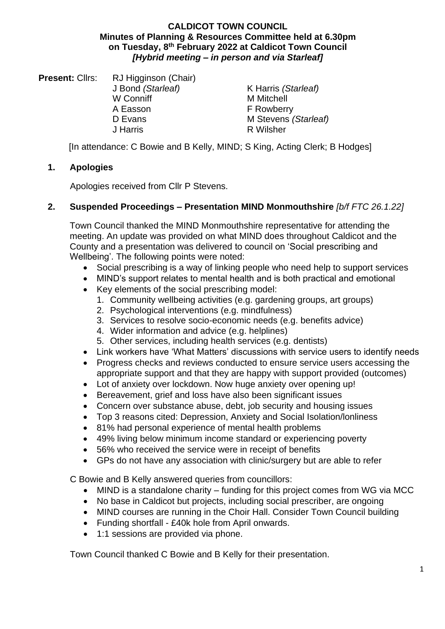#### **CALDICOT TOWN COUNCIL Minutes of Planning & Resources Committee held at 6.30pm on Tuesday, 8 th February 2022 at Caldicot Town Council** *[Hybrid meeting – in person and via Starleaf]*

| RJ Higginson (Chair) |                      |
|----------------------|----------------------|
| J Bond (Starleaf)    | K Harris (Starleaf)  |
| W Conniff            | <b>M</b> Mitchell    |
| A Easson             | <b>F</b> Rowberry    |
| D Evans              | M Stevens (Starleaf) |
| J Harris             | R Wilsher            |
|                      |                      |

[In attendance: C Bowie and B Kelly, MIND; S King, Acting Clerk; B Hodges]

## **1. Apologies**

Apologies received from Cllr P Stevens.

### **2. Suspended Proceedings – Presentation MIND Monmouthshire** *[b/f FTC 26.1.22]*

Town Council thanked the MIND Monmouthshire representative for attending the meeting. An update was provided on what MIND does throughout Caldicot and the County and a presentation was delivered to council on 'Social prescribing and Wellbeing'. The following points were noted:

- Social prescribing is a way of linking people who need help to support services
- MIND's support relates to mental health and is both practical and emotional
- Key elements of the social prescribing model:
	- 1. Community wellbeing activities (e.g. gardening groups, art groups)
	- 2. Psychological interventions (e.g. mindfulness)
	- 3. Services to resolve socio-economic needs (e.g. benefits advice)
	- 4. Wider information and advice (e.g. helplines)
	- 5. Other services, including health services (e.g. dentists)
- Link workers have 'What Matters' discussions with service users to identify needs
- Progress checks and reviews conducted to ensure service users accessing the appropriate support and that they are happy with support provided (outcomes)
- Lot of anxiety over lockdown. Now huge anxiety over opening up!
- Bereavement, grief and loss have also been significant issues
- Concern over substance abuse, debt, job security and housing issues
- Top 3 reasons cited: Depression, Anxiety and Social Isolation/lonliness
- 81% had personal experience of mental health problems
- 49% living below minimum income standard or experiencing poverty
- 56% who received the service were in receipt of benefits
- GPs do not have any association with clinic/surgery but are able to refer

C Bowie and B Kelly answered queries from councillors:

- MIND is a standalone charity funding for this project comes from WG via MCC
- No base in Caldicot but projects, including social prescriber, are ongoing
- MIND courses are running in the Choir Hall. Consider Town Council building
- Funding shortfall £40k hole from April onwards.
- 1:1 sessions are provided via phone.

Town Council thanked C Bowie and B Kelly for their presentation.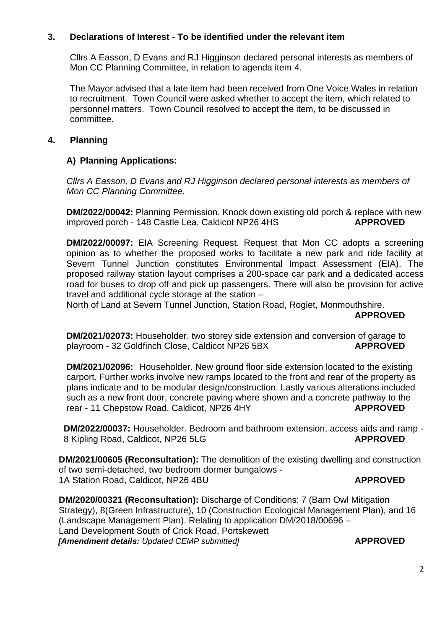## **3. Declarations of Interest - To be identified under the relevant item**

Cllrs A Easson, D Evans and RJ Higginson declared personal interests as members of Mon CC Planning Committee, in relation to agenda item 4.

The Mayor advised that a late item had been received from One Voice Wales in relation to recruitment. Town Council were asked whether to accept the item, which related to personnel matters. Town Council resolved to accept the item, to be discussed in committee.

## **4. Planning**

# **A) Planning Applications:**

*Cllrs A Easson, D Evans and RJ Higginson declared personal interests as members of Mon CC Planning Committee.*

**DM/2022/00042:** Planning Permission. Knock down existing old porch & replace with new improved porch - 148 Castle Lea, Caldicot NP26 4HS **APPROVED**

**DM/2022/00097:** EIA Screening Request. Request that Mon CC adopts a screening opinion as to whether the proposed works to facilitate a new park and ride facility at Severn Tunnel Junction constitutes Environmental Impact Assessment (EIA). The proposed railway station layout comprises a 200-space car park and a dedicated access road for buses to drop off and pick up passengers. There will also be provision for active travel and additional cycle storage at the station –

North of Land at Severn Tunnel Junction, Station Road, Rogiet, Monmouthshire.

**APPROVED**

**DM/2021/02073:** Householder. two storey side extension and conversion of garage to playroom - 32 Goldfinch Close, Caldicot NP26 5BX **APPROVED**

**DM/2021/02096:** Householder. New ground floor side extension located to the existing carport. Further works involve new ramps located to the front and rear of the property as plans indicate and to be modular design/construction. Lastly various alterations included such as a new front door, concrete paving where shown and a concrete pathway to the rear - 11 Chepstow Road, Caldicot, NP26 4HY **APPROVED**

**DM/2022/00037:** Householder. Bedroom and bathroom extension, access aids and ramp - 8 Kipling Road, Caldicot, NP26 5LG **APPROVED** 

**DM/2021/00605 (Reconsultation):** The demolition of the existing dwelling and construction of two semi-detached, two bedroom dormer bungalows - 1A Station Road, Caldicot, NP26 4BU **APPROVED**

**DM/2020/00321 (Reconsultation):** Discharge of Conditions: 7 (Barn Owl Mitigation Strategy), 8(Green Infrastructure), 10 (Construction Ecological Management Plan), and 16 (Landscape Management Plan). Relating to application DM/2018/00696 – Land Development South of Crick Road, Portskewett *[Amendment details: Updated CEMP submitted]* **APPROVED**